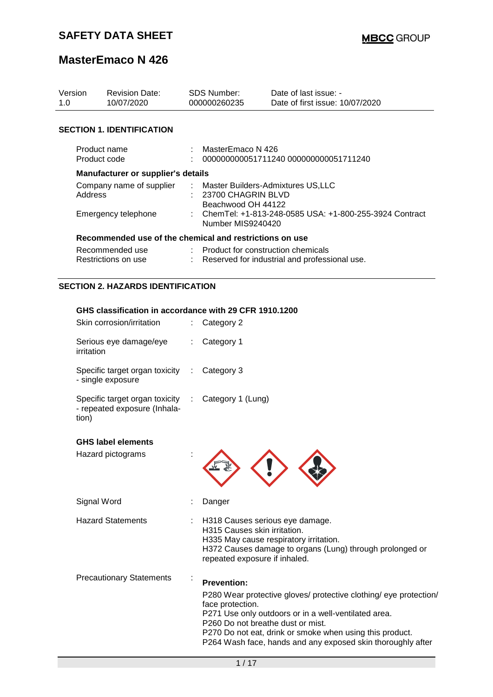| Version<br>1.0                         | <b>Revision Date:</b><br>10/07/2020                                                 |                               | <b>SDS Number:</b><br>000000260235           | Date of last issue: -<br>Date of first issue: 10/07/2020 |  |  |  |
|----------------------------------------|-------------------------------------------------------------------------------------|-------------------------------|----------------------------------------------|----------------------------------------------------------|--|--|--|
|                                        | <b>SECTION 1. IDENTIFICATION</b>                                                    |                               |                                              |                                                          |  |  |  |
|                                        | Product name<br>Product code                                                        | $\mathcal{L}^{\mathcal{L}}$ . | MasterEmaco N 426                            | 000000000051711240 000000000051711240                    |  |  |  |
|                                        | Manufacturer or supplier's details                                                  |                               |                                              |                                                          |  |  |  |
| Address                                | Company name of supplier : Master Builders-Admixtures US,LLC<br>Emergency telephone |                               | $: 23700$ CHAGRIN BLVD<br>Beachwood OH 44122 | : ChemTel: +1-813-248-0585 USA: +1-800-255-3924 Contract |  |  |  |
|                                        |                                                                                     |                               | Number MIS9240420                            |                                                          |  |  |  |
|                                        | Recommended use of the chemical and restrictions on use                             |                               |                                              |                                                          |  |  |  |
| Recommended use<br>Restrictions on use |                                                                                     |                               | : Product for construction chemicals         | : Reserved for industrial and professional use.          |  |  |  |
|                                        | <b>SECTION 2. HAZARDS IDENTIFICATION</b>                                            |                               |                                              |                                                          |  |  |  |
|                                        | GHS classification in accordance with 29 CFR 1910.1200                              |                               |                                              |                                                          |  |  |  |
|                                        | Skin corrosion/irritation                                                           | ÷.                            | Category 2                                   |                                                          |  |  |  |
| irritation                             | Serious eye damage/eye                                                              | $\mathcal{L}^{\mathcal{L}}$   | Category 1                                   |                                                          |  |  |  |
|                                        | Specific target organ toxicity : Category 3<br>- single exposure                    |                               |                                              |                                                          |  |  |  |

| Specific target organ toxicity | : Category 1 (Lung) |
|--------------------------------|---------------------|
| - repeated exposure (Inhala-   |                     |
| tion)                          |                     |

Signal Word : Danger

#### **GHS label elements**

Hazard pictograms :



| <b>Hazard Statements</b> | : H318 Causes serious eye damage.<br>H315 Causes skin irritation.<br>H335 May cause respiratory irritation.<br>H372 Causes damage to organs (Lung) through prolonged or<br>repeated exposure if inhaled. |
|--------------------------|----------------------------------------------------------------------------------------------------------------------------------------------------------------------------------------------------------|
|--------------------------|----------------------------------------------------------------------------------------------------------------------------------------------------------------------------------------------------------|

Precautionary Statements : **Prevention:**  P280 Wear protective gloves/ protective clothing/ eye protection/ face protection. P271 Use only outdoors or in a well-ventilated area. P260 Do not breathe dust or mist. P270 Do not eat, drink or smoke when using this product. P264 Wash face, hands and any exposed skin thoroughly after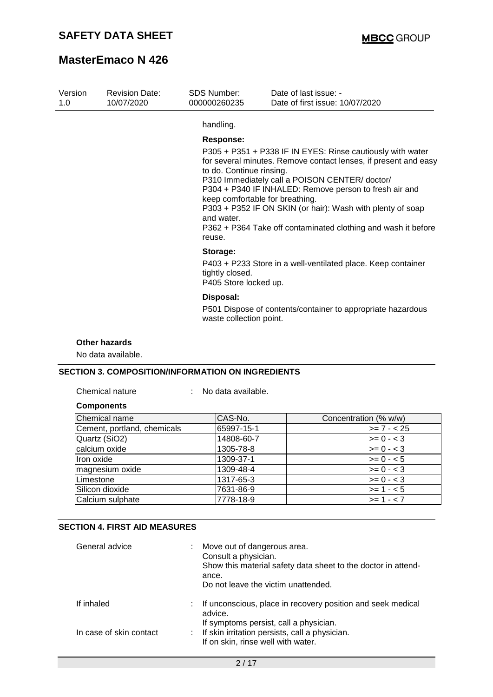| Version<br>1.0 | <b>Revision Date:</b><br>10/07/2020 | SDS Number:<br>000000260235                                                                                                                                                                                                                                                                                                                                                                                                                                    | Date of last issue: -<br>Date of first issue: 10/07/2020     |  |  |
|----------------|-------------------------------------|----------------------------------------------------------------------------------------------------------------------------------------------------------------------------------------------------------------------------------------------------------------------------------------------------------------------------------------------------------------------------------------------------------------------------------------------------------------|--------------------------------------------------------------|--|--|
|                |                                     | handling.                                                                                                                                                                                                                                                                                                                                                                                                                                                      |                                                              |  |  |
|                |                                     | Response:                                                                                                                                                                                                                                                                                                                                                                                                                                                      |                                                              |  |  |
|                |                                     | P305 + P351 + P338 IF IN EYES: Rinse cautiously with water<br>for several minutes. Remove contact lenses, if present and easy<br>to do. Continue rinsing.<br>P310 Immediately call a POISON CENTER/doctor/<br>P304 + P340 IF INHALED: Remove person to fresh air and<br>keep comfortable for breathing.<br>P303 + P352 IF ON SKIN (or hair): Wash with plenty of soap<br>and water.<br>P362 + P364 Take off contaminated clothing and wash it before<br>reuse. |                                                              |  |  |
|                |                                     | Storage:<br>tightly closed.<br>P405 Store locked up.                                                                                                                                                                                                                                                                                                                                                                                                           | P403 + P233 Store in a well-ventilated place. Keep container |  |  |
|                |                                     | Disposal:<br>waste collection point.                                                                                                                                                                                                                                                                                                                                                                                                                           | P501 Dispose of contents/container to appropriate hazardous  |  |  |

### **Other hazards**

No data available.

#### **SECTION 3. COMPOSITION/INFORMATION ON INGREDIENTS**

: No data available.

#### **Components**

| Chemical name               | CAS-No.    | Concentration (% w/w) |
|-----------------------------|------------|-----------------------|
| Cement, portland, chemicals | 65997-15-1 | $>= 7 - 25$           |
| Quartz (SiO2)               | 14808-60-7 | $>= 0 - 3$            |
| calcium oxide               | 1305-78-8  | $>= 0 - 3$            |
| Iron oxide                  | 1309-37-1  | $>= 0 - 5$            |
| magnesium oxide             | 1309-48-4  | $>= 0 - 3$            |
| Limestone                   | 1317-65-3  | $>= 0 - 3$            |
| Silicon dioxide             | 7631-86-9  | $>= 1 - 5$            |
| Calcium sulphate            | 7778-18-9  | $>= 1 - 7$            |

#### **SECTION 4. FIRST AID MEASURES**

| General advice          | Move out of dangerous area.<br>Consult a physician.<br>Show this material safety data sheet to the doctor in attend-<br>ance.<br>Do not leave the victim unattended. |
|-------------------------|----------------------------------------------------------------------------------------------------------------------------------------------------------------------|
| If inhaled              | If unconscious, place in recovery position and seek medical<br>advice.                                                                                               |
| In case of skin contact | If symptoms persist, call a physician.<br>: If skin irritation persists, call a physician.<br>If on skin, rinse well with water.                                     |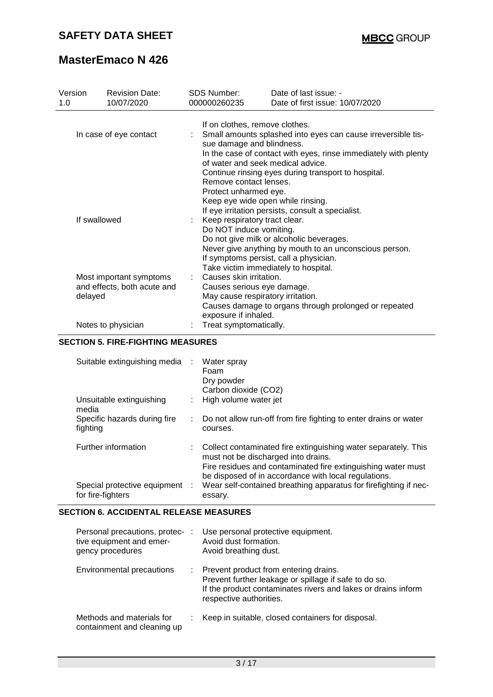# **MasterEmaco N 426**

| Version<br>1.0         | <b>Revision Date:</b><br>10/07/2020                    | <b>SDS Number:</b><br>000000260235                                                                                                                                                                                                  | Date of last issue: -<br>Date of first issue: 10/07/2020                                                                                     |  |  |  |  |
|------------------------|--------------------------------------------------------|-------------------------------------------------------------------------------------------------------------------------------------------------------------------------------------------------------------------------------------|----------------------------------------------------------------------------------------------------------------------------------------------|--|--|--|--|
| In case of eye contact |                                                        | If on clothes, remove clothes.<br>Small amounts splashed into eyes can cause irreversible tis-<br>sue damage and blindness.<br>In the case of contact with eyes, rinse immediately with plenty<br>of water and seek medical advice. |                                                                                                                                              |  |  |  |  |
| If swallowed           |                                                        | Remove contact lenses.<br>Protect unharmed eye.<br>Keep eye wide open while rinsing.<br>Keep respiratory tract clear.                                                                                                               | Continue rinsing eyes during transport to hospital.<br>If eye irritation persists, consult a specialist.                                     |  |  |  |  |
|                        |                                                        | Do NOT induce vomiting.<br>Take victim immediately to hospital.                                                                                                                                                                     | Do not give milk or alcoholic beverages.<br>Never give anything by mouth to an unconscious person.<br>If symptoms persist, call a physician. |  |  |  |  |
| delayed                | Most important symptoms<br>and effects, both acute and | Causes skin irritation.<br>Causes serious eye damage.<br>May cause respiratory irritation.<br>exposure if inhaled.                                                                                                                  | Causes damage to organs through prolonged or repeated                                                                                        |  |  |  |  |
|                        | Notes to physician                                     | Treat symptomatically.                                                                                                                                                                                                              |                                                                                                                                              |  |  |  |  |

#### **SECTION 5. FIRE-FIGHTING MEASURES**

| Suitable extinguishing media :<br>Unsuitable extinguishing<br>media<br>Specific hazards during fire<br>fighting | Water spray<br>Foam<br>Dry powder<br>Carbon dioxide (CO2)<br>: High volume water jet<br>Do not allow run-off from fire fighting to enter drains or water<br>courses.                                                                                                                                           |
|-----------------------------------------------------------------------------------------------------------------|----------------------------------------------------------------------------------------------------------------------------------------------------------------------------------------------------------------------------------------------------------------------------------------------------------------|
| Further information<br>Special protective equipment :<br>for fire-fighters                                      | : Collect contaminated fire extinguishing water separately. This<br>must not be discharged into drains.<br>Fire residues and contaminated fire extinguishing water must<br>be disposed of in accordance with local regulations.<br>Wear self-contained breathing apparatus for firefighting if nec-<br>essary. |

### **SECTION 6. ACCIDENTAL RELEASE MEASURES**

| Personal precautions, protec-<br>tive equipment and emer-<br>gency procedures | -11 | Use personal protective equipment.<br>Avoid dust formation.<br>Avoid breathing dust.                                                                                                       |
|-------------------------------------------------------------------------------|-----|--------------------------------------------------------------------------------------------------------------------------------------------------------------------------------------------|
| Environmental precautions                                                     | ÷.  | Prevent product from entering drains.<br>Prevent further leakage or spillage if safe to do so.<br>If the product contaminates rivers and lakes or drains inform<br>respective authorities. |
| Methods and materials for<br>containment and cleaning up                      |     | Keep in suitable, closed containers for disposal.                                                                                                                                          |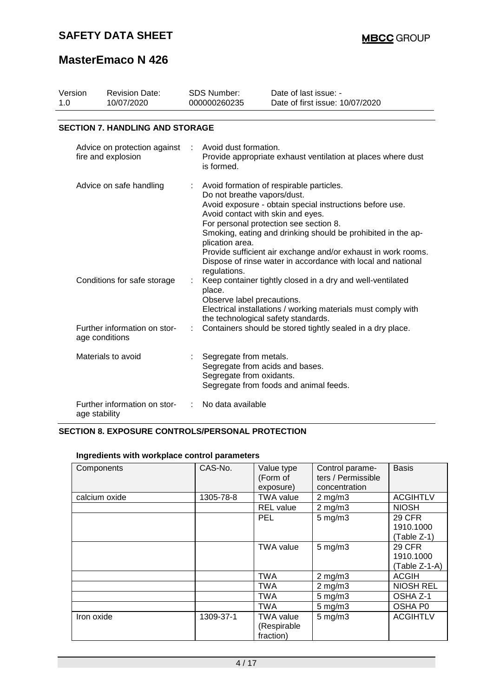# **MasterEmaco N 426**

| Version<br>1.0 | <b>Revision Date:</b><br>10/07/2020                |   | <b>SDS Number:</b><br>000000260235                                                                  | Date of last issue: -<br>Date of first issue: 10/07/2020                                                                                                                                                                                                                                                                                        |  |  |  |  |  |
|----------------|----------------------------------------------------|---|-----------------------------------------------------------------------------------------------------|-------------------------------------------------------------------------------------------------------------------------------------------------------------------------------------------------------------------------------------------------------------------------------------------------------------------------------------------------|--|--|--|--|--|
|                | <b>SECTION 7. HANDLING AND STORAGE</b>             |   |                                                                                                     |                                                                                                                                                                                                                                                                                                                                                 |  |  |  |  |  |
|                | Advice on protection against<br>fire and explosion |   | Avoid dust formation.<br>is formed.                                                                 | Provide appropriate exhaust ventilation at places where dust                                                                                                                                                                                                                                                                                    |  |  |  |  |  |
|                | Advice on safe handling                            | t | Do not breathe vapors/dust.<br>Avoid contact with skin and eyes.<br>plication area.<br>regulations. | Avoid formation of respirable particles.<br>Avoid exposure - obtain special instructions before use.<br>For personal protection see section 8.<br>Smoking, eating and drinking should be prohibited in the ap-<br>Provide sufficient air exchange and/or exhaust in work rooms.<br>Dispose of rinse water in accordance with local and national |  |  |  |  |  |
|                | Conditions for safe storage                        |   | place.<br>Observe label precautions.<br>the technological safety standards.                         | Keep container tightly closed in a dry and well-ventilated<br>Electrical installations / working materials must comply with                                                                                                                                                                                                                     |  |  |  |  |  |
|                | Further information on stor-<br>age conditions     |   |                                                                                                     | Containers should be stored tightly sealed in a dry place.                                                                                                                                                                                                                                                                                      |  |  |  |  |  |
|                | Materials to avoid                                 |   | Segregate from metals.<br>Segregate from acids and bases.<br>Segregate from oxidants.               | Segregate from foods and animal feeds.                                                                                                                                                                                                                                                                                                          |  |  |  |  |  |
|                | Further information on stor-<br>age stability      |   | No data available                                                                                   |                                                                                                                                                                                                                                                                                                                                                 |  |  |  |  |  |

### **SECTION 8. EXPOSURE CONTROLS/PERSONAL PROTECTION**

### **Ingredients with workplace control parameters**

| Components    | CAS-No.   | Value type<br>(Form of<br>exposure)          | Control parame-<br>ters / Permissible<br>concentration | <b>Basis</b>                                |
|---------------|-----------|----------------------------------------------|--------------------------------------------------------|---------------------------------------------|
| calcium oxide | 1305-78-8 | <b>TWA value</b>                             | $2$ mg/m $3$                                           | <b>ACGIHTLV</b>                             |
|               |           | <b>REL</b> value                             | $2$ mg/m $3$                                           | <b>NIOSH</b>                                |
|               |           | <b>PEL</b>                                   | $5$ mg/m $3$                                           | <b>29 CFR</b><br>1910.1000<br>(Table Z-1)   |
|               |           | <b>TWA value</b>                             | $5$ mg/m $3$                                           | <b>29 CFR</b><br>1910.1000<br>(Table Z-1-A) |
|               |           | <b>TWA</b>                                   | $2$ mg/m $3$                                           | <b>ACGIH</b>                                |
|               |           | <b>TWA</b>                                   | $2$ mg/m $3$                                           | <b>NIOSH REL</b>                            |
|               |           | <b>TWA</b>                                   | $5$ mg/m $3$                                           | OSHA Z-1                                    |
|               |           | <b>TWA</b>                                   | $5 \text{ mg/m}$ 3                                     | OSHA P0                                     |
| Iron oxide    | 1309-37-1 | <b>TWA value</b><br>(Respirable<br>fraction) | $5$ mg/m $3$                                           | <b>ACGIHTLV</b>                             |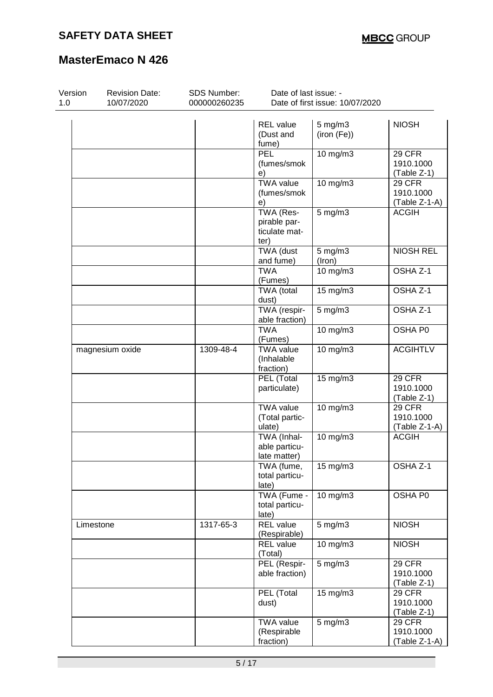| Version<br>1.0 | <b>Revision Date:</b><br>10/07/2020 | SDS Number:<br>000000260235 | Date of last issue: -                       | Date of first issue: 10/07/2020   |                                           |
|----------------|-------------------------------------|-----------------------------|---------------------------------------------|-----------------------------------|-------------------------------------------|
|                |                                     |                             |                                             |                                   |                                           |
|                |                                     |                             | <b>REL</b> value<br>(Dust and<br>fume)      | $5 \text{ mg/m}$ 3<br>(iron (Fe)) | <b>NIOSH</b>                              |
|                |                                     |                             | PEL                                         | 10 mg/m3                          | 29 CFR                                    |
|                |                                     |                             | (fumes/smok<br>e)                           |                                   | 1910.1000<br>(Table Z-1)                  |
|                |                                     |                             | <b>TWA value</b>                            | 10 mg/m3                          | <b>29 CFR</b>                             |
|                |                                     |                             | (fumes/smok<br>e)                           |                                   | 1910.1000<br>(Table Z-1-A)                |
|                |                                     |                             | TWA (Res-                                   | $5$ mg/m $3$                      | <b>ACGIH</b>                              |
|                |                                     |                             | pirable par-                                |                                   |                                           |
|                |                                     |                             | ticulate mat-                               |                                   |                                           |
|                |                                     |                             | ter)                                        |                                   |                                           |
|                |                                     |                             | TWA (dust                                   | $5 \text{ mg/m}$ 3                | <b>NIOSH REL</b>                          |
|                |                                     |                             | and fume)                                   | (Iron)                            |                                           |
|                |                                     |                             | <b>TWA</b><br>(Fumes)                       | 10 mg/m3                          | OSHA Z-1                                  |
|                |                                     |                             | TWA (total                                  | 15 mg/m3                          | OSHA Z-1                                  |
|                |                                     |                             | dust)                                       |                                   |                                           |
|                |                                     |                             | TWA (respir-<br>able fraction)              | $5$ mg/m $3$                      | OSHA Z-1                                  |
|                |                                     |                             | <b>TWA</b><br>(Fumes)                       | 10 mg/m3                          | OSHA P0                                   |
|                | magnesium oxide                     | $1309 - 48 - 4$             | <b>TWA value</b><br>(Inhalable<br>fraction) | 10 mg/m3                          | <b>ACGIHTLV</b>                           |
|                |                                     |                             | PEL (Total<br>particulate)                  | 15 mg/m3                          | 29 CFR<br>1910.1000<br>(Table Z-1)        |
|                |                                     |                             | <b>TWA value</b>                            | 10 mg/m3                          | <b>29 CFR</b>                             |
|                |                                     |                             | (Total partic-                              |                                   | 1910.1000                                 |
|                |                                     |                             | ulate)                                      |                                   | (Table Z-1-A)                             |
|                |                                     |                             | TWA (Inhal-                                 | 10 mg/m3                          | <b>ACGIH</b>                              |
|                |                                     |                             | able particu-<br>late matter)               |                                   |                                           |
|                |                                     |                             | TWA (fume,<br>total particu-                | 15 mg/m3                          | OSHA Z-1                                  |
|                |                                     |                             | late)                                       |                                   |                                           |
|                |                                     |                             | TWA (Fume -                                 | $10$ mg/m $3$                     | <b>OSHA P0</b>                            |
|                |                                     |                             | total particu-<br>late)                     |                                   |                                           |
| Limestone      |                                     | 1317-65-3                   | <b>REL</b> value<br>(Respirable)            | $5$ mg/m $3$                      | <b>NIOSH</b>                              |
|                |                                     |                             | <b>REL</b> value<br>(Total)                 | 10 mg/m3                          | <b>NIOSH</b>                              |
|                |                                     |                             | PEL (Respir-<br>able fraction)              | $5$ mg/m $3$                      | <b>29 CFR</b><br>1910.1000<br>(Table Z-1) |
|                |                                     |                             | PEL (Total<br>dust)                         | 15 mg/m3                          | <b>29 CFR</b><br>1910.1000<br>(Table Z-1) |
|                |                                     |                             | <b>TWA value</b>                            | $5$ mg/m $3$                      | $\overline{2}9$ CFR                       |
|                |                                     |                             | (Respirable<br>fraction)                    |                                   | 1910.1000<br>(Table Z-1-A)                |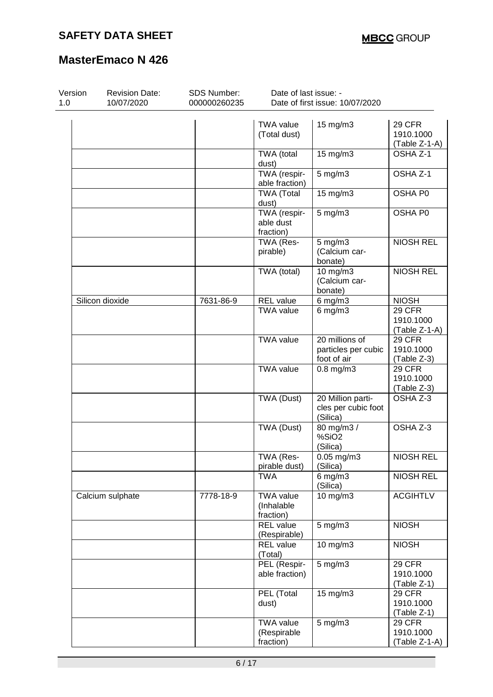| Version<br>1.0 | <b>Revision Date:</b><br>10/07/2020 | <b>SDS Number:</b><br>000000260235 | Date of last issue: -<br>Date of first issue: 10/07/2020 |                                                      |                                             |  |
|----------------|-------------------------------------|------------------------------------|----------------------------------------------------------|------------------------------------------------------|---------------------------------------------|--|
|                |                                     |                                    | <b>TWA value</b><br>(Total dust)                         | 15 mg/m3                                             | <b>29 CFR</b><br>1910.1000<br>(Table Z-1-A) |  |
|                |                                     |                                    | TWA (total<br>dust)                                      | 15 mg/m3                                             | OSHA Z-1                                    |  |
|                |                                     |                                    | TWA (respir-<br>able fraction)                           | $5$ mg/m $3$                                         | OSHA Z-1                                    |  |
|                |                                     |                                    | <b>TWA (Total</b><br>dust)                               | 15 mg/m3                                             | OSHA P0                                     |  |
|                |                                     |                                    | TWA (respir-<br>able dust<br>fraction)                   | $5$ mg/m $3$                                         | OSHA P0                                     |  |
|                |                                     |                                    | TWA (Res-<br>pirable)                                    | $5 \text{ mg/m}$<br>(Calcium car-<br>bonate)         | <b>NIOSH REL</b>                            |  |
|                |                                     |                                    | TWA (total)                                              | 10 mg/m3<br>(Calcium car-<br>bonate)                 | <b>NIOSH REL</b>                            |  |
|                | Silicon dioxide                     | 7631-86-9                          | <b>REL</b> value                                         | $6$ mg/m $3$                                         | <b>NIOSH</b>                                |  |
|                |                                     |                                    | <b>TWA value</b>                                         | $6$ mg/m $3$                                         | 29 CFR<br>1910.1000<br>(Table Z-1-A)        |  |
|                |                                     |                                    | <b>TWA value</b>                                         | 20 millions of<br>particles per cubic<br>foot of air | 29 CFR<br>1910.1000<br>(Table Z-3)          |  |
|                |                                     |                                    | <b>TWA value</b>                                         | $0.8$ mg/m $3$                                       | 29 CFR<br>1910.1000<br>(Table Z-3)          |  |
|                |                                     |                                    | TWA (Dust)                                               | 20 Million parti-<br>cles per cubic foot<br>(Silica) | OSHA Z-3                                    |  |
|                |                                     |                                    | TWA (Dust)                                               | 80 mg/m3 /<br>%SiO <sub>2</sub><br>(Silica)          | $OSHAZ-3$                                   |  |
|                |                                     |                                    | TWA (Res-<br>pirable dust)                               | $0.05$ mg/m3<br>(Silica)                             | <b>NIOSH REL</b>                            |  |
|                |                                     |                                    | <b>TWA</b>                                               | $6$ mg/m $3$<br>(Silica)                             | <b>NIOSH REL</b>                            |  |
|                | Calcium sulphate                    | 7778-18-9                          | <b>TWA value</b><br>(Inhalable<br>fraction)              | 10 mg/m3                                             | <b>ACGIHTLV</b>                             |  |
|                |                                     |                                    | <b>REL</b> value<br>(Respirable)                         | $5$ mg/m $3$                                         | <b>NIOSH</b>                                |  |
|                |                                     |                                    | <b>REL</b> value<br>(Total)                              | 10 mg/m3                                             | <b>NIOSH</b>                                |  |
|                |                                     |                                    | PEL (Respir-<br>able fraction)                           | $5$ mg/m $3$                                         | 29 CFR<br>1910.1000<br>(Table Z-1)          |  |
|                |                                     |                                    | PEL (Total<br>dust)                                      | $15$ mg/m $3$                                        | <b>29 CFR</b><br>1910.1000<br>(Table Z-1)   |  |
|                |                                     |                                    | <b>TWA value</b><br>(Respirable<br>fraction)             | $5 \text{ mg/m}$                                     | <b>29 CFR</b><br>1910.1000<br>(Table Z-1-A) |  |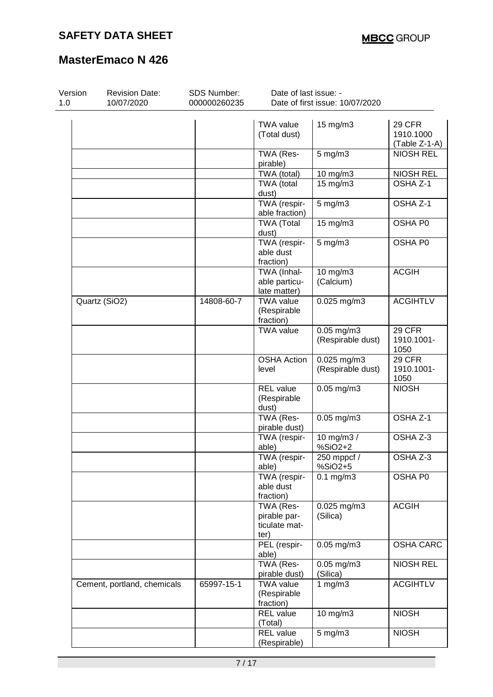| Version<br>1.0 | <b>Revision Date:</b><br>10/07/2020 | <b>SDS Number:</b><br>000000260235 | Date of last issue: -                              | Date of first issue: 10/07/2020      |                                             |
|----------------|-------------------------------------|------------------------------------|----------------------------------------------------|--------------------------------------|---------------------------------------------|
|                |                                     |                                    | <b>TWA value</b><br>(Total dust)                   | 15 mg/m3                             | <b>29 CFR</b><br>1910.1000<br>(Table Z-1-A) |
|                |                                     |                                    | TWA (Res-<br>pirable)                              | $5$ mg/m $3$                         | <b>NIOSH REL</b>                            |
|                |                                     |                                    | TWA (total)                                        | 10 mg/m3                             | <b>NIOSH REL</b>                            |
|                |                                     |                                    | TWA (total<br>dust)                                | $15$ mg/m $3$                        | OSHA Z-1                                    |
|                |                                     |                                    | TWA (respir-<br>able fraction)                     | $5 \,\mathrm{mg/m}$                  | OSHA Z-1                                    |
|                |                                     |                                    | <b>TWA (Total</b><br>dust)                         | 15 mg/m3                             | OSHA P0                                     |
|                |                                     |                                    | TWA (respir-<br>able dust<br>fraction)             | $5$ mg/m $3$                         | OSHA P0                                     |
|                |                                     |                                    | TWA (Inhal-<br>able particu-<br>late matter)       | 10 mg/m3<br>(Calcium)                | <b>ACGIH</b>                                |
|                | Quartz (SiO2)                       | 14808-60-7                         | <b>TWA value</b><br>(Respirable<br>fraction)       | $0.025$ mg/m3                        | <b>ACGIHTLV</b>                             |
|                |                                     |                                    | <b>TWA value</b>                                   | $0.05$ mg/m $3$<br>(Respirable dust) | 29 CFR<br>1910.1001-<br>1050                |
|                |                                     |                                    | <b>OSHA Action</b><br>level                        | $0.025$ mg/m3<br>(Respirable dust)   | <b>29 CFR</b><br>1910.1001-<br>1050         |
|                |                                     |                                    | REL value<br>(Respirable<br>dust)                  | 0.05 mg/m3                           | <b>NIOSH</b>                                |
|                |                                     |                                    | TWA (Res-<br>pirable dust)                         | $0.05$ mg/m $3$                      | OSHA Z-1                                    |
|                |                                     |                                    | TWA (respir-<br>able)                              | 10 mg/m3 /<br>%SiO2+2                | OSHA Z-3                                    |
|                |                                     |                                    | TWA (respir-<br>able)                              | 250 mppcf /<br>%SiO2+5               | OSHA Z-3                                    |
|                |                                     |                                    | TWA (respir-<br>able dust<br>fraction)             | $0.1$ mg/m $3$                       | OSHA P0                                     |
|                |                                     |                                    | TWA (Res-<br>pirable par-<br>ticulate mat-<br>ter) | 0.025 mg/m3<br>(Silica)              | <b>ACGIH</b>                                |
|                |                                     |                                    | PEL (respir-<br>able)                              | $0.05$ mg/m $3$                      | <b>OSHA CARC</b>                            |
|                |                                     |                                    | TWA (Res-<br>pirable dust)                         | $0.05$ mg/m $3$<br>(Silica)          | <b>NIOSH REL</b>                            |
|                | Cement, portland, chemicals         | 65997-15-1                         | <b>TWA value</b><br>(Respirable<br>fraction)       | 1 $mg/m3$                            | <b>ACGIHTLV</b>                             |
|                |                                     |                                    | <b>REL</b> value<br>(Total)                        | $10$ mg/m $3$                        | <b>NIOSH</b>                                |
|                |                                     |                                    | <b>REL</b> value<br>(Respirable)                   | $5$ mg/m $3$                         | <b>NIOSH</b>                                |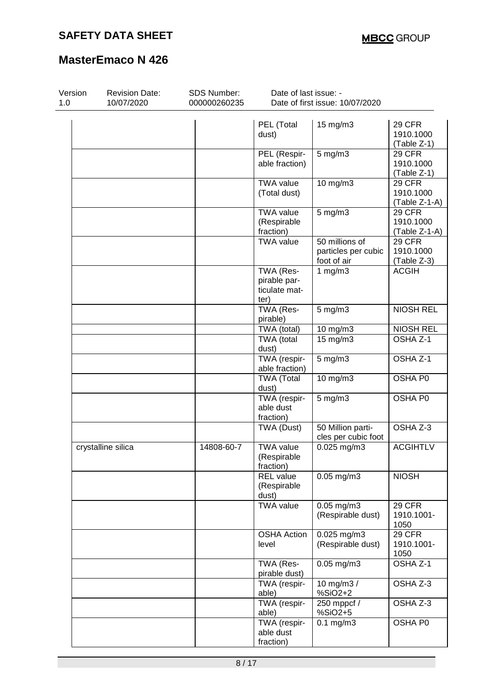| Version<br>1.0 | <b>Revision Date:</b><br>10/07/2020 | SDS Number:<br>000000260235 | Date of last issue: -                              | Date of first issue: 10/07/2020                      |                                           |
|----------------|-------------------------------------|-----------------------------|----------------------------------------------------|------------------------------------------------------|-------------------------------------------|
|                |                                     |                             | PEL (Total<br>dust)                                | 15 mg/m3                                             | <b>29 CFR</b><br>1910.1000<br>(Table Z-1) |
|                |                                     |                             | PEL (Respir-<br>able fraction)                     | $5$ mg/m $3$                                         | <b>29 CFR</b><br>1910.1000<br>(Table Z-1) |
|                |                                     |                             | <b>TWA value</b><br>(Total dust)                   | 10 mg/m3                                             | 29 CFR<br>1910.1000<br>(Table Z-1-A)      |
|                |                                     |                             | <b>TWA value</b><br>(Respirable<br>fraction)       | $5$ mg/m $3$                                         | 29 CFR<br>1910.1000<br>(Table Z-1-A)      |
|                |                                     |                             | <b>TWA value</b>                                   | 50 millions of<br>particles per cubic<br>foot of air | <b>29 CFR</b><br>1910.1000<br>(Table Z-3) |
|                |                                     |                             | TWA (Res-<br>pirable par-<br>ticulate mat-<br>ter) | 1 $mg/m3$                                            | <b>ACGIH</b>                              |
|                |                                     |                             | TWA (Res-<br>pirable)                              | $5$ mg/m $3$                                         | <b>NIOSH REL</b>                          |
|                |                                     |                             | TWA (total)<br>TWA (total<br>dust)                 | 10 mg/m3<br>15 mg/m3                                 | <b>NIOSH REL</b><br>OSHA Z-1              |
|                |                                     |                             | TWA (respir-<br>able fraction)                     | $5$ mg/m $3$                                         | OSHA Z-1                                  |
|                |                                     |                             | <b>TWA (Total</b><br>dust)                         | $10$ mg/m $3$                                        | OSHA P0                                   |
|                |                                     |                             | TWA (respir-<br>able dust<br>fraction)             | $5$ mg/m $3$                                         | OSHA P0                                   |
|                |                                     |                             | TWA (Dust)                                         | 50 Million parti-<br>cles per cubic foot             | OSHA Z-3                                  |
|                | crystalline silica                  | 14808-60-7                  | <b>TWA value</b><br>(Respirable<br>fraction)       | $0.025$ mg/m $3$                                     | <b>ACGIHTLV</b>                           |
|                |                                     |                             | <b>REL</b> value<br>(Respirable<br>dust)           | $0.05$ mg/m $3$                                      | <b>NIOSH</b>                              |
|                |                                     |                             | <b>TWA</b> value                                   | $0.05$ mg/m $3$<br>(Respirable dust)                 | 29 CFR<br>1910.1001-<br>1050              |
|                |                                     |                             | <b>OSHA Action</b><br>level                        | $0.025$ mg/m $3$<br>(Respirable dust)                | <b>29 CFR</b><br>1910.1001-<br>1050       |
|                |                                     |                             | TWA (Res-<br>pirable dust)                         | $0.05$ mg/m $3$                                      | OSHA Z-1                                  |
|                |                                     |                             | TWA (respir-<br>able)                              | 10 mg/m3 /<br>%SiO2+2                                | OSHA Z-3                                  |
|                |                                     |                             | TWA (respir-<br>able)                              | 250 mppcf /<br>%SiO2+5                               | OSHA Z-3                                  |
|                |                                     |                             | TWA (respir-<br>able dust<br>fraction)             | $0.1$ mg/m $3$                                       | OSHA P0                                   |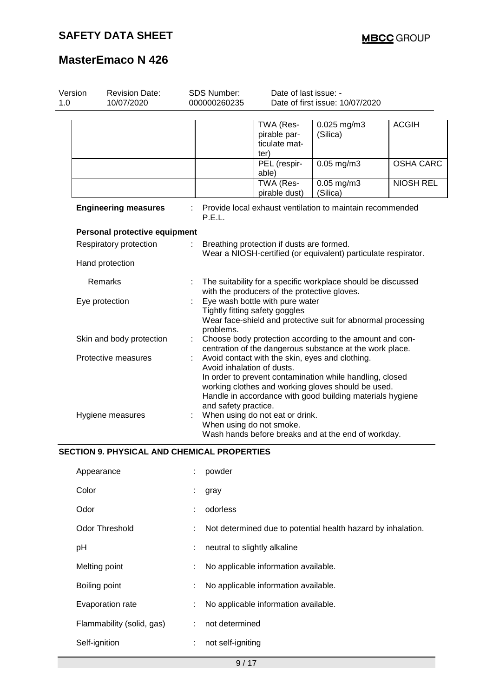| Version<br>1.0 | <b>Revision Date:</b><br>10/07/2020 | <b>SDS Number:</b><br>000000260235 | Date of last issue: -<br>Date of first issue: 10/07/2020                      |                                                                                                                                                                             |                  |
|----------------|-------------------------------------|------------------------------------|-------------------------------------------------------------------------------|-----------------------------------------------------------------------------------------------------------------------------------------------------------------------------|------------------|
|                |                                     |                                    | TWA (Res-<br>pirable par-<br>ticulate mat-<br>ter)                            | $0.025$ mg/m3<br>(Silica)                                                                                                                                                   | <b>ACGIH</b>     |
|                |                                     |                                    | PEL (respir-<br>able)                                                         | $0.05$ mg/m $3$                                                                                                                                                             | <b>OSHA CARC</b> |
|                |                                     |                                    | TWA (Res-<br>pirable dust)                                                    | $0.05$ mg/m $3$<br>(Silica)                                                                                                                                                 | <b>NIOSH REL</b> |
|                | <b>Engineering measures</b>         | P.E.L.                             |                                                                               | Provide local exhaust ventilation to maintain recommended                                                                                                                   |                  |
|                | Personal protective equipment       |                                    |                                                                               |                                                                                                                                                                             |                  |
|                | Respiratory protection              | ÷                                  | Breathing protection if dusts are formed.                                     | Wear a NIOSH-certified (or equivalent) particulate respirator.                                                                                                              |                  |
|                | Hand protection                     |                                    |                                                                               |                                                                                                                                                                             |                  |
|                | Remarks                             |                                    | with the producers of the protective gloves.                                  | The suitability for a specific workplace should be discussed                                                                                                                |                  |
|                | Eye protection                      | problems.                          | Eye wash bottle with pure water<br>Tightly fitting safety goggles             | Wear face-shield and protective suit for abnormal processing                                                                                                                |                  |
|                | Skin and body protection            | ÷                                  |                                                                               | Choose body protection according to the amount and con-<br>centration of the dangerous substance at the work place.                                                         |                  |
|                | Protective measures                 | and safety practice.               | Avoid contact with the skin, eyes and clothing.<br>Avoid inhalation of dusts. | In order to prevent contamination while handling, closed<br>working clothes and working gloves should be used.<br>Handle in accordance with good building materials hygiene |                  |
|                | Hygiene measures                    |                                    | When using do not eat or drink.<br>When using do not smoke.                   | Wash hands before breaks and at the end of workday.                                                                                                                         |                  |

#### **SECTION 9. PHYSICAL AND CHEMICAL PROPERTIES**

| Appearance                | ÷  | powder                                                       |
|---------------------------|----|--------------------------------------------------------------|
| Color                     | ÷  | gray                                                         |
| Odor                      | ÷  | odorless                                                     |
| <b>Odor Threshold</b>     |    | Not determined due to potential health hazard by inhalation. |
| pH                        | t. | neutral to slightly alkaline                                 |
| Melting point             | ÷  | No applicable information available.                         |
| Boiling point             | ÷. | No applicable information available.                         |
| Evaporation rate          | ÷. | No applicable information available.                         |
| Flammability (solid, gas) | ÷. | not determined                                               |
| Self-ignition             | ÷  | not self-igniting                                            |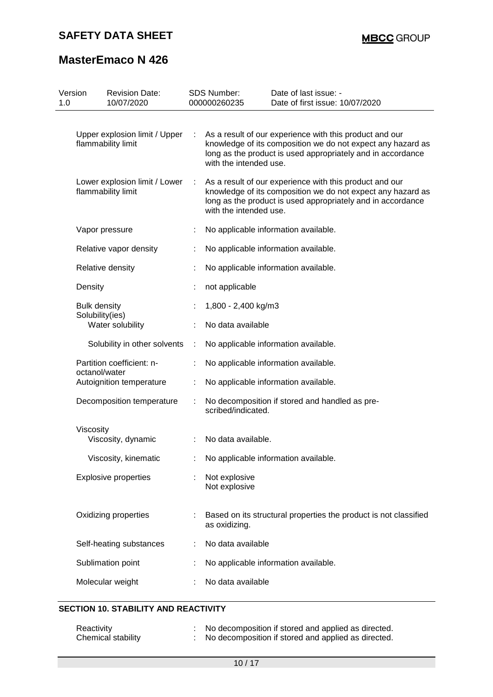# **MasterEmaco N 426**

| Version<br>1.0 | <b>Revision Date:</b><br>10/07/2020                 |   | SDS Number:<br>000000260235    | Date of last issue: -<br>Date of first issue: 10/07/2020                                                                                                                              |
|----------------|-----------------------------------------------------|---|--------------------------------|---------------------------------------------------------------------------------------------------------------------------------------------------------------------------------------|
|                | Upper explosion limit / Upper<br>flammability limit |   | with the intended use.         | As a result of our experience with this product and our<br>knowledge of its composition we do not expect any hazard as<br>long as the product is used appropriately and in accordance |
|                | Lower explosion limit / Lower<br>flammability limit | ÷ | with the intended use.         | As a result of our experience with this product and our<br>knowledge of its composition we do not expect any hazard as<br>long as the product is used appropriately and in accordance |
|                | Vapor pressure                                      |   |                                | No applicable information available.                                                                                                                                                  |
|                | Relative vapor density                              |   |                                | No applicable information available.                                                                                                                                                  |
|                | Relative density                                    |   |                                | No applicable information available.                                                                                                                                                  |
|                | Density                                             |   | not applicable                 |                                                                                                                                                                                       |
|                | <b>Bulk density</b><br>Solubility(ies)              |   | 1,800 - 2,400 kg/m3            |                                                                                                                                                                                       |
|                | Water solubility                                    |   | No data available              |                                                                                                                                                                                       |
|                | Solubility in other solvents                        | ÷ |                                | No applicable information available.                                                                                                                                                  |
|                | Partition coefficient: n-<br>octanol/water          |   |                                | No applicable information available.                                                                                                                                                  |
|                | Autoignition temperature                            | ÷ |                                | No applicable information available.                                                                                                                                                  |
|                | Decomposition temperature                           | ÷ | scribed/indicated.             | No decomposition if stored and handled as pre-                                                                                                                                        |
|                | Viscosity<br>Viscosity, dynamic                     |   | No data available.             |                                                                                                                                                                                       |
|                | Viscosity, kinematic                                |   |                                | No applicable information available.                                                                                                                                                  |
|                | <b>Explosive properties</b>                         |   | Not explosive<br>Not explosive |                                                                                                                                                                                       |
|                | Oxidizing properties                                |   | as oxidizing.                  | Based on its structural properties the product is not classified                                                                                                                      |
|                | Self-heating substances                             |   | No data available              |                                                                                                                                                                                       |
|                | Sublimation point                                   |   |                                | No applicable information available.                                                                                                                                                  |
|                | Molecular weight                                    |   | No data available              |                                                                                                                                                                                       |
|                |                                                     |   |                                |                                                                                                                                                                                       |

## **SECTION 10. STABILITY AND REACTIVITY**

| Reactivity         | No decomposition if stored and applied as directed. |
|--------------------|-----------------------------------------------------|
| Chemical stability | No decomposition if stored and applied as directed. |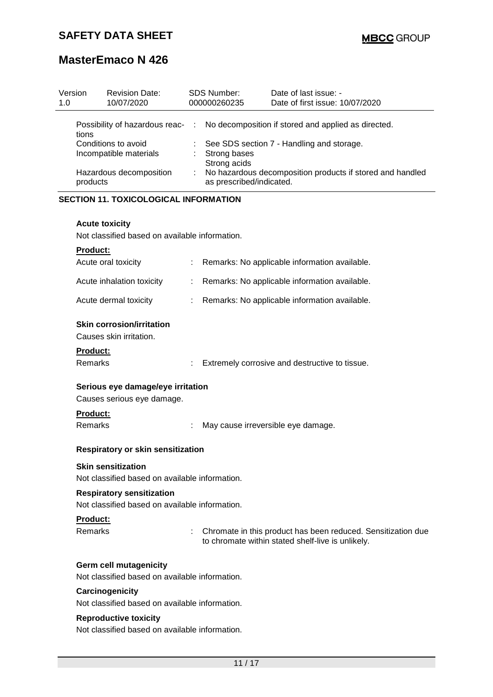| Version<br>1.0 | <b>Revision Date:</b><br>10/07/2020          | <b>SDS Number:</b><br>000000260235 | Date of last issue: -<br>Date of first issue: 10/07/2020  |
|----------------|----------------------------------------------|------------------------------------|-----------------------------------------------------------|
|                | Possibility of hazardous reac-<br>:<br>tions |                                    | No decomposition if stored and applied as directed.       |
|                | Conditions to avoid                          |                                    | : See SDS section 7 - Handling and storage.               |
|                | Incompatible materials                       | Strong bases<br>Strong acids       |                                                           |
|                | Hazardous decomposition<br>products          | as prescribed/indicated.           | No hazardous decomposition products if stored and handled |

#### **SECTION 11. TOXICOLOGICAL INFORMATION**

#### **Acute toxicity**

Not classified based on available information.

|  | Product: |  |
|--|----------|--|
|  |          |  |

| Acute oral toxicity       | : Remarks: No applicable information available. |
|---------------------------|-------------------------------------------------|
| Acute inhalation toxicity | : Remarks: No applicable information available. |
| Acute dermal toxicity     | : Remarks: No applicable information available. |

#### **Skin corrosion/irritation**

Causes skin irritation.

#### **Product:**

| <b>Remarks</b> |  | Extremely corrosive and destructive to tissue. |
|----------------|--|------------------------------------------------|
|----------------|--|------------------------------------------------|

#### **Serious eye damage/eye irritation**

Causes serious eye damage.

#### **Product:**

Remarks : May cause irreversible eye damage.

#### **Respiratory or skin sensitization**

#### **Skin sensitization**

Not classified based on available information.

### **Respiratory sensitization**

Not classified based on available information.

#### **Product:**

Remarks : Chromate in this product has been reduced. Sensitization due to chromate within stated shelf-live is unlikely.

#### **Germ cell mutagenicity**

Not classified based on available information.

#### **Carcinogenicity**

Not classified based on available information.

#### **Reproductive toxicity**

Not classified based on available information.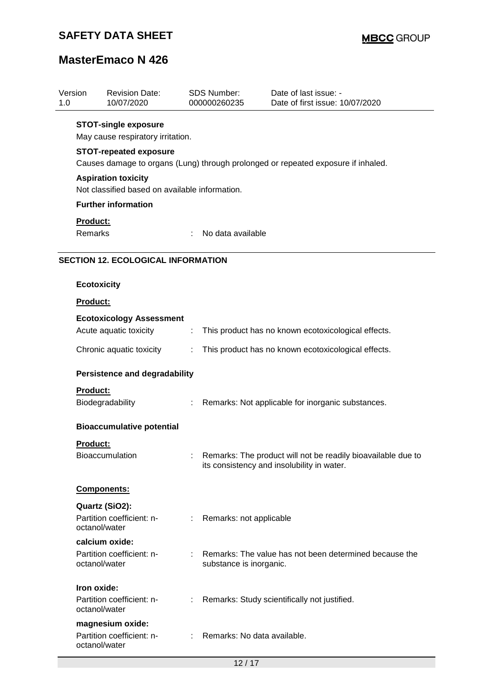| 1.0 | Version                                                                           | <b>Revision Date:</b><br>10/07/2020                       |    | SDS Number:<br>000000260235 | Date of last issue: -<br>Date of first issue: 10/07/2020                                                   |  |  |
|-----|-----------------------------------------------------------------------------------|-----------------------------------------------------------|----|-----------------------------|------------------------------------------------------------------------------------------------------------|--|--|
|     | <b>STOT-single exposure</b><br>May cause respiratory irritation.                  |                                                           |    |                             |                                                                                                            |  |  |
|     | <b>STOT-repeated exposure</b>                                                     |                                                           |    |                             |                                                                                                            |  |  |
|     | Causes damage to organs (Lung) through prolonged or repeated exposure if inhaled. |                                                           |    |                             |                                                                                                            |  |  |
|     | <b>Aspiration toxicity</b><br>Not classified based on available information.      |                                                           |    |                             |                                                                                                            |  |  |
|     | <b>Further information</b>                                                        |                                                           |    |                             |                                                                                                            |  |  |
|     | Product:                                                                          |                                                           |    |                             |                                                                                                            |  |  |
|     | Remarks                                                                           |                                                           |    | No data available           |                                                                                                            |  |  |
|     |                                                                                   | <b>SECTION 12. ECOLOGICAL INFORMATION</b>                 |    |                             |                                                                                                            |  |  |
|     |                                                                                   |                                                           |    |                             |                                                                                                            |  |  |
|     |                                                                                   | <b>Ecotoxicity</b>                                        |    |                             |                                                                                                            |  |  |
|     | Product:                                                                          |                                                           |    |                             |                                                                                                            |  |  |
|     |                                                                                   | <b>Ecotoxicology Assessment</b><br>Acute aquatic toxicity |    |                             | This product has no known ecotoxicological effects.                                                        |  |  |
|     |                                                                                   | Chronic aquatic toxicity                                  | ÷  |                             | This product has no known ecotoxicological effects.                                                        |  |  |
|     |                                                                                   |                                                           |    |                             |                                                                                                            |  |  |
|     | <b>Persistence and degradability</b>                                              |                                                           |    |                             |                                                                                                            |  |  |
|     | <b>Product:</b>                                                                   |                                                           |    |                             |                                                                                                            |  |  |
|     |                                                                                   | Biodegradability                                          | ÷. |                             | Remarks: Not applicable for inorganic substances.                                                          |  |  |
|     |                                                                                   | <b>Bioaccumulative potential</b>                          |    |                             |                                                                                                            |  |  |
|     | Product:                                                                          |                                                           |    |                             |                                                                                                            |  |  |
|     |                                                                                   | <b>Bioaccumulation</b>                                    |    |                             | Remarks: The product will not be readily bioavailable due to<br>its consistency and insolubility in water. |  |  |
|     |                                                                                   |                                                           |    |                             |                                                                                                            |  |  |
|     |                                                                                   | Components:                                               |    |                             |                                                                                                            |  |  |
|     |                                                                                   | Quartz (SiO2):<br>Partition coefficient: n-               |    | Remarks: not applicable     |                                                                                                            |  |  |
|     |                                                                                   | octanol/water                                             |    |                             |                                                                                                            |  |  |
|     |                                                                                   | calcium oxide:<br>Partition coefficient: n-               |    |                             | Remarks: The value has not been determined because the                                                     |  |  |
|     |                                                                                   | octanol/water                                             |    | substance is inorganic.     |                                                                                                            |  |  |
|     | Iron oxide:                                                                       |                                                           |    |                             |                                                                                                            |  |  |
|     |                                                                                   | Partition coefficient: n-<br>octanol/water                | ÷  |                             | Remarks: Study scientifically not justified.                                                               |  |  |
|     |                                                                                   | magnesium oxide:                                          |    |                             |                                                                                                            |  |  |
|     |                                                                                   | Partition coefficient: n-<br>octanol/water                |    | Remarks: No data available. |                                                                                                            |  |  |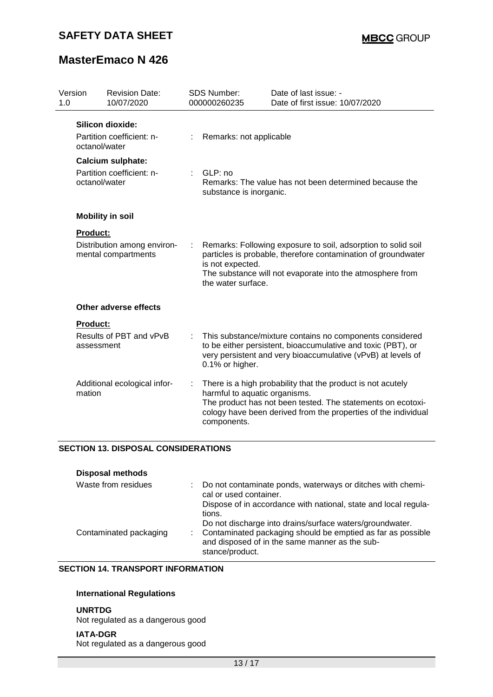# **MasterEmaco N 426**

| Version<br>1.0 |                                                                                                                                              | <b>Revision Date:</b><br>10/07/2020 |    | <b>SDS Number:</b><br>000000260235                                                                                                                                                                                                    | Date of last issue: -<br>Date of first issue: 10/07/2020                                                                                                                                     |
|----------------|----------------------------------------------------------------------------------------------------------------------------------------------|-------------------------------------|----|---------------------------------------------------------------------------------------------------------------------------------------------------------------------------------------------------------------------------------------|----------------------------------------------------------------------------------------------------------------------------------------------------------------------------------------------|
|                | Silicon dioxide:<br>Partition coefficient: n-<br>octanol/water<br><b>Calcium sulphate:</b><br>Partition coefficient: n-<br>octanol/water     |                                     |    | Remarks: not applicable<br>GLP: no<br>Remarks: The value has not been determined because the<br>substance is inorganic.                                                                                                               |                                                                                                                                                                                              |
|                |                                                                                                                                              |                                     | ÷. |                                                                                                                                                                                                                                       |                                                                                                                                                                                              |
|                | <b>Mobility in soil</b><br><b>Product:</b><br>Distribution among environ-<br>mental compartments<br><b>Other adverse effects</b><br>Product: |                                     |    |                                                                                                                                                                                                                                       |                                                                                                                                                                                              |
|                |                                                                                                                                              |                                     | ÷  | Remarks: Following exposure to soil, adsorption to solid soil<br>particles is probable, therefore contamination of groundwater<br>is not expected.<br>The substance will not evaporate into the atmosphere from<br>the water surface. |                                                                                                                                                                                              |
|                |                                                                                                                                              |                                     |    |                                                                                                                                                                                                                                       |                                                                                                                                                                                              |
|                |                                                                                                                                              |                                     |    |                                                                                                                                                                                                                                       |                                                                                                                                                                                              |
|                | assessment                                                                                                                                   | Results of PBT and vPvB             | ÷  | 0.1% or higher.                                                                                                                                                                                                                       | This substance/mixture contains no components considered<br>to be either persistent, bioaccumulative and toxic (PBT), or<br>very persistent and very bioaccumulative (vPvB) at levels of     |
|                | mation                                                                                                                                       | Additional ecological infor-        |    | harmful to aquatic organisms.<br>components.                                                                                                                                                                                          | There is a high probability that the product is not acutely<br>The product has not been tested. The statements on ecotoxi-<br>cology have been derived from the properties of the individual |

### **SECTION 13. DISPOSAL CONSIDERATIONS**

| : Do not contaminate ponds, waterways or ditches with chemi-<br>cal or used container.                                    |
|---------------------------------------------------------------------------------------------------------------------------|
| Dispose of in accordance with national, state and local regula-<br>tions.                                                 |
| Do not discharge into drains/surface waters/groundwater.<br>: Contaminated packaging should be emptied as far as possible |
| and disposed of in the same manner as the sub-<br>stance/product.                                                         |
|                                                                                                                           |

### **SECTION 14. TRANSPORT INFORMATION**

### **International Regulations**

#### **UNRTDG**

Not regulated as a dangerous good

#### **IATA-DGR**

Not regulated as a dangerous good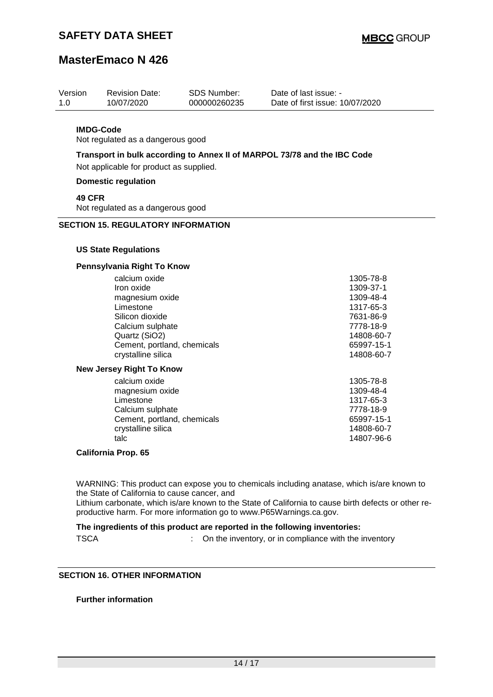| Version<br>1.0                  | 10/07/2020                                                                                                          | <b>Revision Date:</b>                                                                                                                                                    | <b>SDS Number:</b><br>000000260235 | Date of last issue: -<br>Date of first issue: 10/07/2020 |                                                                                                                      |  |  |  |
|---------------------------------|---------------------------------------------------------------------------------------------------------------------|--------------------------------------------------------------------------------------------------------------------------------------------------------------------------|------------------------------------|----------------------------------------------------------|----------------------------------------------------------------------------------------------------------------------|--|--|--|
|                                 | <b>IMDG-Code</b>                                                                                                    | Not regulated as a dangerous good                                                                                                                                        |                                    |                                                          |                                                                                                                      |  |  |  |
|                                 | Transport in bulk according to Annex II of MARPOL 73/78 and the IBC Code<br>Not applicable for product as supplied. |                                                                                                                                                                          |                                    |                                                          |                                                                                                                      |  |  |  |
|                                 | <b>Domestic regulation</b>                                                                                          |                                                                                                                                                                          |                                    |                                                          |                                                                                                                      |  |  |  |
|                                 | <b>49 CFR</b>                                                                                                       | Not regulated as a dangerous good                                                                                                                                        |                                    |                                                          |                                                                                                                      |  |  |  |
|                                 |                                                                                                                     | <b>SECTION 15. REGULATORY INFORMATION</b>                                                                                                                                |                                    |                                                          |                                                                                                                      |  |  |  |
|                                 | <b>US State Regulations</b>                                                                                         |                                                                                                                                                                          |                                    |                                                          |                                                                                                                      |  |  |  |
|                                 |                                                                                                                     | Pennsylvania Right To Know                                                                                                                                               |                                    |                                                          |                                                                                                                      |  |  |  |
|                                 |                                                                                                                     | calcium oxide<br>Iron oxide<br>magnesium oxide<br>Limestone<br>Silicon dioxide<br>Calcium sulphate<br>Quartz (SiO2)<br>Cement, portland, chemicals<br>crystalline silica |                                    |                                                          | 1305-78-8<br>1309-37-1<br>1309-48-4<br>1317-65-3<br>7631-86-9<br>7778-18-9<br>14808-60-7<br>65997-15-1<br>14808-60-7 |  |  |  |
| <b>New Jersey Right To Know</b> |                                                                                                                     |                                                                                                                                                                          |                                    |                                                          |                                                                                                                      |  |  |  |
|                                 |                                                                                                                     | calcium oxide<br>magnesium oxide<br>Limestone<br>Calcium sulphate<br>Cement, portland, chemicals                                                                         |                                    |                                                          | 1305-78-8<br>1309-48-4<br>1317-65-3<br>7778-18-9<br>65997-15-1                                                       |  |  |  |

#### **California Prop. 65**

WARNING: This product can expose you to chemicals including anatase, which is/are known to the State of California to cause cancer, and

crystalline silica 14808-60-7 talc 14807-96-6

Lithium carbonate, which is/are known to the State of California to cause birth defects or other reproductive harm. For more information go to www.P65Warnings.ca.gov.

#### **The ingredients of this product are reported in the following inventories:**

TSCA : On the inventory, or in compliance with the inventory

### **SECTION 16. OTHER INFORMATION**

#### **Further information**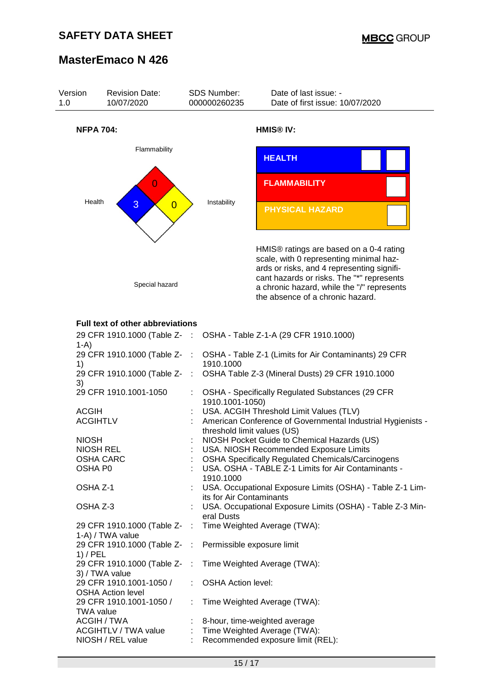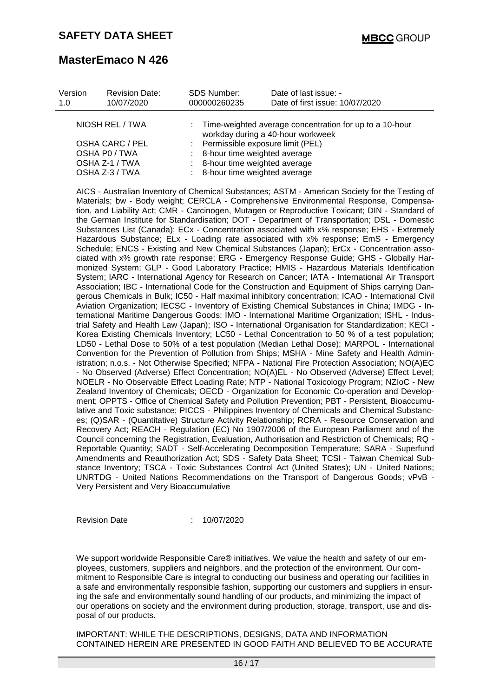| Version         | <b>Revision Date:</b> |                                    | <b>SDS Number:</b>             | Date of last issue: -                                                                          |  |
|-----------------|-----------------------|------------------------------------|--------------------------------|------------------------------------------------------------------------------------------------|--|
| 1.0             | 10/07/2020            |                                    | 000000260235                   | Date of first issue: 10/07/2020                                                                |  |
|                 | NIOSH REL / TWA       |                                    |                                | : Time-weighted average concentration for up to a 10-hour<br>workday during a 40-hour workweek |  |
| OSHA CARC / PEL |                       | : Permissible exposure limit (PEL) |                                |                                                                                                |  |
|                 | OSHA P0 / TWA         |                                    | : 8-hour time weighted average |                                                                                                |  |
|                 | OSHA Z-1 / TWA        |                                    | : 8-hour time weighted average |                                                                                                |  |
| OSHA Z-3 / TWA  |                       |                                    | : 8-hour time weighted average |                                                                                                |  |

AICS - Australian Inventory of Chemical Substances; ASTM - American Society for the Testing of Materials; bw - Body weight; CERCLA - Comprehensive Environmental Response, Compensation, and Liability Act; CMR - Carcinogen, Mutagen or Reproductive Toxicant; DIN - Standard of the German Institute for Standardisation; DOT - Department of Transportation; DSL - Domestic Substances List (Canada); ECx - Concentration associated with x% response; EHS - Extremely Hazardous Substance; ELx - Loading rate associated with x% response; EmS - Emergency Schedule; ENCS - Existing and New Chemical Substances (Japan); ErCx - Concentration associated with x% growth rate response; ERG - Emergency Response Guide; GHS - Globally Harmonized System; GLP - Good Laboratory Practice; HMIS - Hazardous Materials Identification System; IARC - International Agency for Research on Cancer; IATA - International Air Transport Association; IBC - International Code for the Construction and Equipment of Ships carrying Dangerous Chemicals in Bulk; IC50 - Half maximal inhibitory concentration; ICAO - International Civil Aviation Organization; IECSC - Inventory of Existing Chemical Substances in China; IMDG - International Maritime Dangerous Goods; IMO - International Maritime Organization; ISHL - Industrial Safety and Health Law (Japan); ISO - International Organisation for Standardization; KECI - Korea Existing Chemicals Inventory; LC50 - Lethal Concentration to 50 % of a test population; LD50 - Lethal Dose to 50% of a test population (Median Lethal Dose); MARPOL - International Convention for the Prevention of Pollution from Ships; MSHA - Mine Safety and Health Administration; n.o.s. - Not Otherwise Specified; NFPA - National Fire Protection Association; NO(A)EC - No Observed (Adverse) Effect Concentration; NO(A)EL - No Observed (Adverse) Effect Level; NOELR - No Observable Effect Loading Rate; NTP - National Toxicology Program; NZIoC - New Zealand Inventory of Chemicals; OECD - Organization for Economic Co-operation and Development; OPPTS - Office of Chemical Safety and Pollution Prevention; PBT - Persistent, Bioaccumulative and Toxic substance; PICCS - Philippines Inventory of Chemicals and Chemical Substances; (Q)SAR - (Quantitative) Structure Activity Relationship; RCRA - Resource Conservation and Recovery Act; REACH - Regulation (EC) No 1907/2006 of the European Parliament and of the Council concerning the Registration, Evaluation, Authorisation and Restriction of Chemicals; RQ - Reportable Quantity; SADT - Self-Accelerating Decomposition Temperature; SARA - Superfund Amendments and Reauthorization Act; SDS - Safety Data Sheet; TCSI - Taiwan Chemical Substance Inventory; TSCA - Toxic Substances Control Act (United States); UN - United Nations; UNRTDG - United Nations Recommendations on the Transport of Dangerous Goods; vPvB - Very Persistent and Very Bioaccumulative

Revision Date : 10/07/2020

We support worldwide Responsible Care® initiatives. We value the health and safety of our employees, customers, suppliers and neighbors, and the protection of the environment. Our commitment to Responsible Care is integral to conducting our business and operating our facilities in a safe and environmentally responsible fashion, supporting our customers and suppliers in ensuring the safe and environmentally sound handling of our products, and minimizing the impact of our operations on society and the environment during production, storage, transport, use and disposal of our products.

IMPORTANT: WHILE THE DESCRIPTIONS, DESIGNS, DATA AND INFORMATION CONTAINED HEREIN ARE PRESENTED IN GOOD FAITH AND BELIEVED TO BE ACCURATE